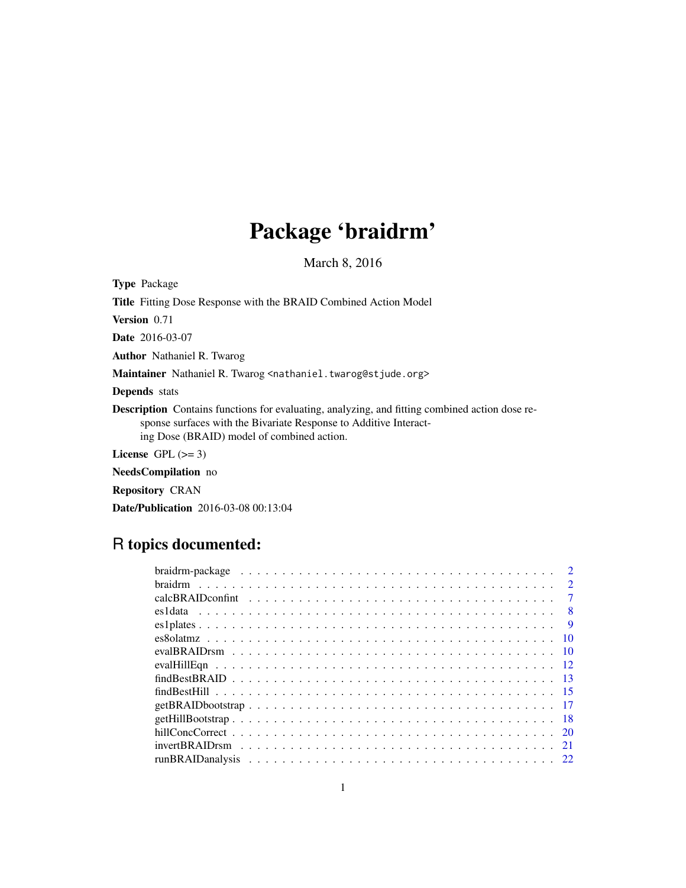# Package 'braidrm'

March 8, 2016

Type Package

Title Fitting Dose Response with the BRAID Combined Action Model Version 0.71

Date 2016-03-07

Author Nathaniel R. Twarog

Maintainer Nathaniel R. Twarog <nathaniel.twarog@stjude.org>

Depends stats

Description Contains functions for evaluating, analyzing, and fitting combined action dose response surfaces with the Bivariate Response to Additive Interacting Dose (BRAID) model of combined action.

License GPL  $(>= 3)$ 

NeedsCompilation no

Repository CRAN

Date/Publication 2016-03-08 00:13:04

# R topics documented:

| $\mathcal{D}$ |
|---------------|
| $\mathcal{D}$ |
| 7             |
| 8             |
| <b>9</b>      |
| -10           |
|               |
|               |
|               |
|               |
|               |
|               |
|               |
|               |
|               |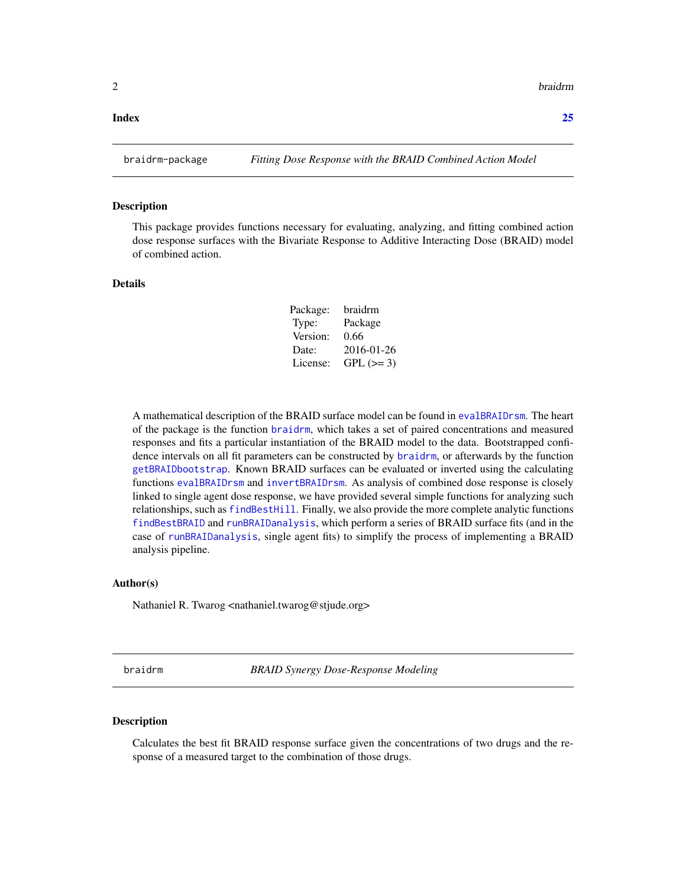#### <span id="page-1-0"></span>**Index** [25](#page-24-0)

#### Description

This package provides functions necessary for evaluating, analyzing, and fitting combined action dose response surfaces with the Bivariate Response to Additive Interacting Dose (BRAID) model of combined action.

## Details

| Package: | braidrm    |
|----------|------------|
| Type:    | Package    |
| Version: | 0.66       |
| Date:    | 2016-01-26 |
| License: | $GPL (=3)$ |

A mathematical description of the BRAID surface model can be found in [evalBRAIDrsm](#page-9-1). The heart of the package is the function [braidrm](#page-1-1), which takes a set of paired concentrations and measured responses and fits a particular instantiation of the BRAID model to the data. Bootstrapped confidence intervals on all fit parameters can be constructed by [braidrm](#page-1-1), or afterwards by the function [getBRAIDbootstrap](#page-16-1). Known BRAID surfaces can be evaluated or inverted using the calculating functions [evalBRAIDrsm](#page-9-1) and [invertBRAIDrsm](#page-20-1). As analysis of combined dose response is closely linked to single agent dose response, we have provided several simple functions for analyzing such relationships, such as [findBestHill](#page-14-1). Finally, we also provide the more complete analytic functions [findBestBRAID](#page-12-1) and [runBRAIDanalysis](#page-21-1), which perform a series of BRAID surface fits (and in the case of [runBRAIDanalysis](#page-21-1), single agent fits) to simplify the process of implementing a BRAID analysis pipeline.

#### Author(s)

Nathaniel R. Twarog <nathaniel.twarog@stjude.org>

<span id="page-1-1"></span>braidrm *BRAID Synergy Dose-Response Modeling*

#### Description

Calculates the best fit BRAID response surface given the concentrations of two drugs and the response of a measured target to the combination of those drugs.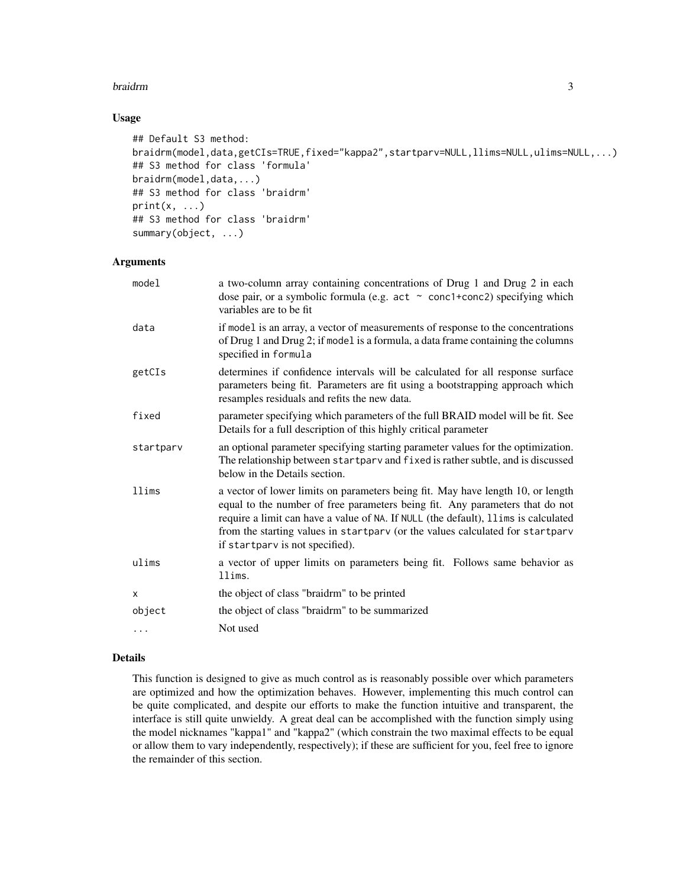#### braidrm 3

# Usage

```
## Default S3 method:
braidrm(model,data,getCIs=TRUE,fixed="kappa2",startparv=NULL,llims=NULL,ulims=NULL,...)
## S3 method for class 'formula'
braidrm(model,data,...)
## S3 method for class 'braidrm'
print(x, \ldots)## S3 method for class 'braidrm'
summary(object, ...)
```
#### Arguments

| model     | a two-column array containing concentrations of Drug 1 and Drug 2 in each<br>dose pair, or a symbolic formula (e.g. $act \sim conc1+conc2$ ) specifying which<br>variables are to be fit                                                                                                                                                                                  |
|-----------|---------------------------------------------------------------------------------------------------------------------------------------------------------------------------------------------------------------------------------------------------------------------------------------------------------------------------------------------------------------------------|
| data      | if model is an array, a vector of measurements of response to the concentrations<br>of Drug 1 and Drug 2; if model is a formula, a data frame containing the columns<br>specified in formula                                                                                                                                                                              |
| getCIs    | determines if confidence intervals will be calculated for all response surface<br>parameters being fit. Parameters are fit using a bootstrapping approach which<br>resamples residuals and refits the new data.                                                                                                                                                           |
| fixed     | parameter specifying which parameters of the full BRAID model will be fit. See<br>Details for a full description of this highly critical parameter                                                                                                                                                                                                                        |
| startparv | an optional parameter specifying starting parameter values for the optimization.<br>The relationship between startparv and fixed is rather subtle, and is discussed<br>below in the Details section.                                                                                                                                                                      |
| llims     | a vector of lower limits on parameters being fit. May have length 10, or length<br>equal to the number of free parameters being fit. Any parameters that do not<br>require a limit can have a value of NA. If NULL (the default), 11ims is calculated<br>from the starting values in startparv (or the values calculated for startparv<br>if startparv is not specified). |
| ulims     | a vector of upper limits on parameters being fit. Follows same behavior as<br>llims.                                                                                                                                                                                                                                                                                      |
| X         | the object of class "braidrm" to be printed                                                                                                                                                                                                                                                                                                                               |
| object    | the object of class "braidrm" to be summarized                                                                                                                                                                                                                                                                                                                            |
| .         | Not used                                                                                                                                                                                                                                                                                                                                                                  |
|           |                                                                                                                                                                                                                                                                                                                                                                           |

#### Details

This function is designed to give as much control as is reasonably possible over which parameters are optimized and how the optimization behaves. However, implementing this much control can be quite complicated, and despite our efforts to make the function intuitive and transparent, the interface is still quite unwieldy. A great deal can be accomplished with the function simply using the model nicknames "kappa1" and "kappa2" (which constrain the two maximal effects to be equal or allow them to vary independently, respectively); if these are sufficient for you, feel free to ignore the remainder of this section.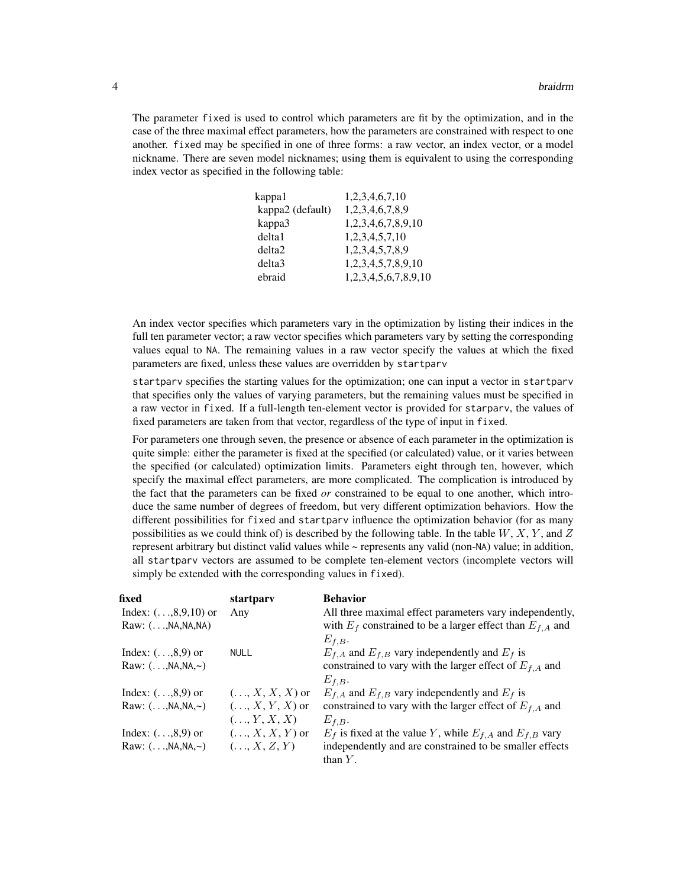The parameter fixed is used to control which parameters are fit by the optimization, and in the case of the three maximal effect parameters, how the parameters are constrained with respect to one another. fixed may be specified in one of three forms: a raw vector, an index vector, or a model nickname. There are seven model nicknames; using them is equivalent to using the corresponding index vector as specified in the following table:

| kappa1             | 1,2,3,4,6,7,10       |
|--------------------|----------------------|
| kappa2 (default)   | 1,2,3,4,6,7,8,9      |
| kappa3             | 1,2,3,4,6,7,8,9,10   |
| delta1             | 1,2,3,4,5,7,10       |
| delta <sub>2</sub> | 1.2.3.4.5.7.8.9      |
| delta3             | 1,2,3,4,5,7,8,9,10   |
| ebraid             | 1,2,3,4,5,6,7,8,9,10 |
|                    |                      |

An index vector specifies which parameters vary in the optimization by listing their indices in the full ten parameter vector; a raw vector specifies which parameters vary by setting the corresponding values equal to NA. The remaining values in a raw vector specify the values at which the fixed parameters are fixed, unless these values are overridden by startparv

startparv specifies the starting values for the optimization; one can input a vector in startparv that specifies only the values of varying parameters, but the remaining values must be specified in a raw vector in fixed. If a full-length ten-element vector is provided for starparv, the values of fixed parameters are taken from that vector, regardless of the type of input in fixed.

For parameters one through seven, the presence or absence of each parameter in the optimization is quite simple: either the parameter is fixed at the specified (or calculated) value, or it varies between the specified (or calculated) optimization limits. Parameters eight through ten, however, which specify the maximal effect parameters, are more complicated. The complication is introduced by the fact that the parameters can be fixed *or* constrained to be equal to one another, which introduce the same number of degrees of freedom, but very different optimization behaviors. How the different possibilities for fixed and startparv influence the optimization behavior (for as many possibilities as we could think of) is described by the following table. In the table  $W, X, Y$ , and Z represent arbitrary but distinct valid values while ~ represents any valid (non-NA) value; in addition, all startparv vectors are assumed to be complete ten-element vectors (incomplete vectors will simply be extended with the corresponding values in fixed).

| fixed                           | startparv               | <b>Behavior</b>                                                   |
|---------------------------------|-------------------------|-------------------------------------------------------------------|
| Index: $( \ldots, 8, 9, 10)$ or | Any                     | All three maximal effect parameters vary independently,           |
| Raw: $( \ldots, NA, NA, NA)$    |                         | with $E_f$ constrained to be a larger effect than $E_{f,A}$ and   |
|                                 |                         | $E_{f,B}$ .                                                       |
| Index: $( \ldots, 8, 9)$ or     | <b>NULL</b>             | $E_{f,A}$ and $E_{f,B}$ vary independently and $E_f$ is           |
| Raw: $($ , NA, NA, ~ $)$        |                         | constrained to vary with the larger effect of $E_{f,A}$ and       |
|                                 |                         | $E_{f,B}.$                                                        |
| Index: $( \ldots, 8, 9)$ or     | $(\ldots, X, X, X)$ or  | $E_{f,A}$ and $E_{f,B}$ vary independently and $E_f$ is           |
| Raw: $($ , NA, NA, ~ $)$        | $(\ldots, X, Y, X)$ or  | constrained to vary with the larger effect of $E_{f,A}$ and       |
|                                 | $( \ldots, Y, X, X)$    | $E_{f,B}.$                                                        |
| Index: $( \ldots, 8, 9)$ or     | $( \ldots, X, X, Y)$ or | $E_f$ is fixed at the value Y, while $E_{f,A}$ and $E_{f,B}$ vary |
| Raw: $($ , NA, NA, ~ $)$        | $(\ldots, X, Z, Y)$     | independently and are constrained to be smaller effects           |
|                                 |                         | than $Y$ .                                                        |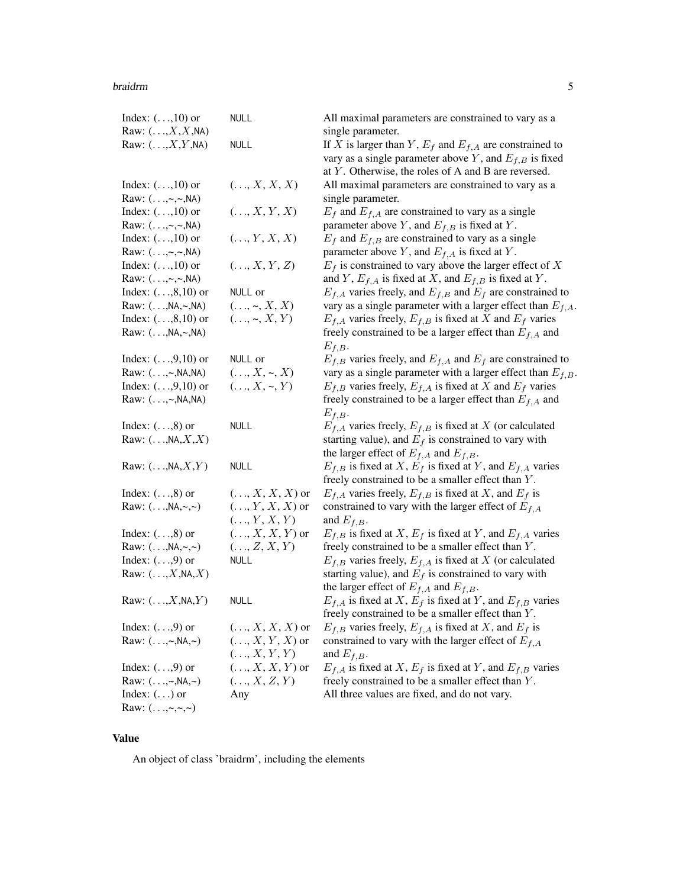#### braidrm 5

| Index: $( \ldots, 10)$ or                | <b>NULL</b>             | All maximal parameters are constrained to vary as a                 |
|------------------------------------------|-------------------------|---------------------------------------------------------------------|
| Raw: $(\ldots, X, X, N_A)$               |                         | single parameter.                                                   |
| Raw: $(\ldots, X, Y, NA)$                | <b>NULL</b>             | If X is larger than Y, $E_f$ and $E_{f,A}$ are constrained to       |
|                                          |                         | vary as a single parameter above Y, and $E_{f,B}$ is fixed          |
|                                          |                         | at $Y$ . Otherwise, the roles of A and B are reversed.              |
| Index: $( \ldots, 10)$ or                | $(\ldots, X, X, X)$     | All maximal parameters are constrained to vary as a                 |
| Raw: $( \ldots, \sim, \sim, NA)$         |                         | single parameter.                                                   |
| Index: $( \ldots, 10)$ or                | $(\ldots, X, Y, X)$     | $E_f$ and $E_{f,A}$ are constrained to vary as a single             |
| Raw: $(\ldots, \sim, \sim, \mathsf{NA})$ |                         | parameter above Y, and $E_{f,B}$ is fixed at Y.                     |
| Index: $( \ldots, 10)$ or                | (, Y, X, X)             | $E_f$ and $E_{f,B}$ are constrained to vary as a single             |
| Raw: $(\ldots, \sim, \sim, \mathsf{NA})$ |                         | parameter above Y, and $E_{f,A}$ is fixed at Y.                     |
| Index: $( \ldots, 10)$ or                | (, X, Y, Z)             | $E_f$ is constrained to vary above the larger effect of X           |
| Raw: $(\ldots, \sim, \sim, NA)$          |                         | and Y, $E_{f,A}$ is fixed at X, and $E_{f,B}$ is fixed at Y.        |
| Index: $( \ldots, 8, 10)$ or             | NULL or                 | $E_{f,A}$ varies freely, and $E_{f,B}$ and $E_f$ are constrained to |
| Raw: $( \ldots, NA, \sim, NA)$           | $(\ldots, \sim, X, X)$  | vary as a single parameter with a larger effect than $E_{f,A}$ .    |
| Index: $( \ldots, 8, 10)$ or             | $(, \sim, X, Y)$        | $E_{f,A}$ varies freely, $E_{f,B}$ is fixed at X and $E_f$ varies   |
| Raw: $( \ldots, NA, \sim, NA)$           |                         | freely constrained to be a larger effect than $E_{f,A}$ and         |
|                                          |                         | $E_{f,B}.$                                                          |
| Index: $(,9,10)$ or                      | NULL or                 | $E_{f,B}$ varies freely, and $E_{f,A}$ and $E_f$ are constrained to |
| Raw: (,~, NA, NA)                        | $(, X, \sim, X)$        | vary as a single parameter with a larger effect than $E_{f,B}$ .    |
| Index: $( \ldots, 9, 10)$ or             | $(, X, \sim, Y)$        | $E_{f,B}$ varies freely, $E_{f,A}$ is fixed at X and $E_f$ varies   |
| Raw: (,~, NA, NA)                        |                         | freely constrained to be a larger effect than $E_{f,A}$ and         |
|                                          |                         | $E_{f,B}.$                                                          |
|                                          | <b>NULL</b>             |                                                                     |
| Index: $( \ldots, 8)$ or                 |                         | $E_{f,A}$ varies freely, $E_{f,B}$ is fixed at X (or calculated     |
| Raw: $(\ldots, NA, X, X)$                |                         | starting value), and $E_f$ is constrained to vary with              |
|                                          |                         | the larger effect of $E_{f,A}$ and $E_{f,B}$ .                      |
| Raw: $(\ldots, NA, X, Y)$                | <b>NULL</b>             | $E_{f,B}$ is fixed at X, $E_f$ is fixed at Y, and $E_{f,A}$ varies  |
|                                          |                         | freely constrained to be a smaller effect than Y.                   |
| Index: $( \ldots, 8)$ or                 | $(\ldots, X, X, X)$ or  | $E_{f,A}$ varies freely, $E_{f,B}$ is fixed at X, and $E_f$ is      |
| Raw: $( \ldots, NA, \sim, \sim )$        | $(\ldots, Y, X, X)$ or  | constrained to vary with the larger effect of $E_{f,A}$             |
|                                          | $(\ldots, Y, X, Y)$     | and $E_{f,B}$ .                                                     |
| Index: $( \ldots, 8)$ or                 | $(\ldots, X, X, Y)$ or  | $E_{f,B}$ is fixed at X, $E_f$ is fixed at Y, and $E_{f,A}$ varies  |
| Raw: $( \ldots, NA, \sim, \sim )$        | $(\ldots, Z, X, Y)$     | freely constrained to be a smaller effect than Y.                   |
| Index: $( \ldots, 9)$ or                 | <b>NULL</b>             | $E_{f,B}$ varies freely, $E_{f,A}$ is fixed at X (or calculated     |
| Raw: $(\ldots, X, NA, X)$                |                         | starting value), and $E_f$ is constrained to vary with              |
|                                          |                         | the larger effect of $E_{f,A}$ and $E_{f,B}$ .                      |
| Raw: $(\ldots, X, NA, Y)$                | <b>NULL</b>             | $E_{f,A}$ is fixed at X, $E_f$ is fixed at Y, and $E_{f,B}$ varies  |
|                                          |                         | freely constrained to be a smaller effect than Y.                   |
| Index: $( \ldots, 9)$ or                 | $(, X, X, X)$ or        | $E_{f,B}$ varies freely, $E_{f,A}$ is fixed at X, and $E_f$ is      |
| Raw: $( \ldots, \sim, NA, \sim )$        | $( \ldots, X, Y, X)$ or | constrained to vary with the larger effect of $E_{f,A}$             |
|                                          | $(\ldots, X, Y, Y)$     | and $E_{f,B}$ .                                                     |
| Index: $( \ldots, 9)$ or                 | $( \ldots, X, X, Y)$ or | $E_{f,A}$ is fixed at X, $E_f$ is fixed at Y, and $E_{f,B}$ varies  |
| Raw: $( \ldots, \sim, NA, \sim )$        | $(\ldots, X, Z, Y)$     | freely constrained to be a smaller effect than Y.                   |
| Index: $(\ldots)$ or                     | Any                     | All three values are fixed, and do not vary.                        |
| Raw: $( \ldots, \sim, \sim, \sim)$       |                         |                                                                     |

# Value

An object of class 'braidrm', including the elements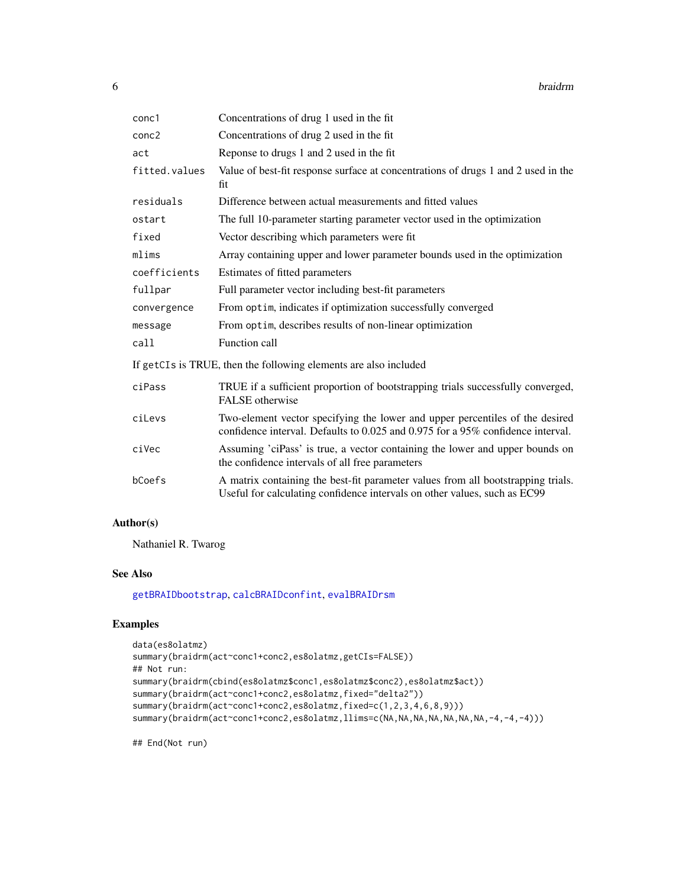<span id="page-5-0"></span>

| conc1         | Concentrations of drug 1 used in the fit                                                                                                                        |
|---------------|-----------------------------------------------------------------------------------------------------------------------------------------------------------------|
| conc2         | Concentrations of drug 2 used in the fit                                                                                                                        |
| act           | Reponse to drugs 1 and 2 used in the fit                                                                                                                        |
| fitted.values | Value of best-fit response surface at concentrations of drugs 1 and 2 used in the<br>fit                                                                        |
| residuals     | Difference between actual measurements and fitted values                                                                                                        |
| ostart        | The full 10-parameter starting parameter vector used in the optimization                                                                                        |
| fixed         | Vector describing which parameters were fit                                                                                                                     |
| mlims         | Array containing upper and lower parameter bounds used in the optimization                                                                                      |
| coefficients  | Estimates of fitted parameters                                                                                                                                  |
| fullpar       | Full parameter vector including best-fit parameters                                                                                                             |
| convergence   | From optim, indicates if optimization successfully converged                                                                                                    |
| message       | From optim, describes results of non-linear optimization                                                                                                        |
| call          | Function call                                                                                                                                                   |
|               | If getCIs is TRUE, then the following elements are also included                                                                                                |
| ciPass        | TRUE if a sufficient proportion of bootstrapping trials successfully converged,<br>FALSE otherwise                                                              |
| ciLevs        | Two-element vector specifying the lower and upper percentiles of the desired<br>confidence interval. Defaults to 0.025 and 0.975 for a 95% confidence interval. |
| ciVec         | Assuming 'ciPass' is true, a vector containing the lower and upper bounds on<br>the confidence intervals of all free parameters                                 |
| bCoefs        | A matrix containing the best-fit parameter values from all bootstrapping trials.<br>Useful for calculating confidence intervals on other values, such as EC99   |
|               |                                                                                                                                                                 |

# Author(s)

Nathaniel R. Twarog

# See Also

[getBRAIDbootstrap](#page-16-1), [calcBRAIDconfint](#page-6-1), [evalBRAIDrsm](#page-9-1)

# Examples

```
data(es8olatmz)
summary(braidrm(act~conc1+conc2,es8olatmz,getCIs=FALSE))
## Not run:
summary(braidrm(cbind(es8olatmz$conc1,es8olatmz$conc2),es8olatmz$act))
summary(braidrm(act~conc1+conc2,es8olatmz,fixed="delta2"))
summary(braidrm(act~conc1+conc2,es8olatmz,fixed=c(1,2,3,4,6,8,9)))
summary(braidrm(act~conc1+conc2,es8olatmz,llims=c(NA,NA,NA,NA,NA,NA,NA,-4,-4,-4)))
```
## End(Not run)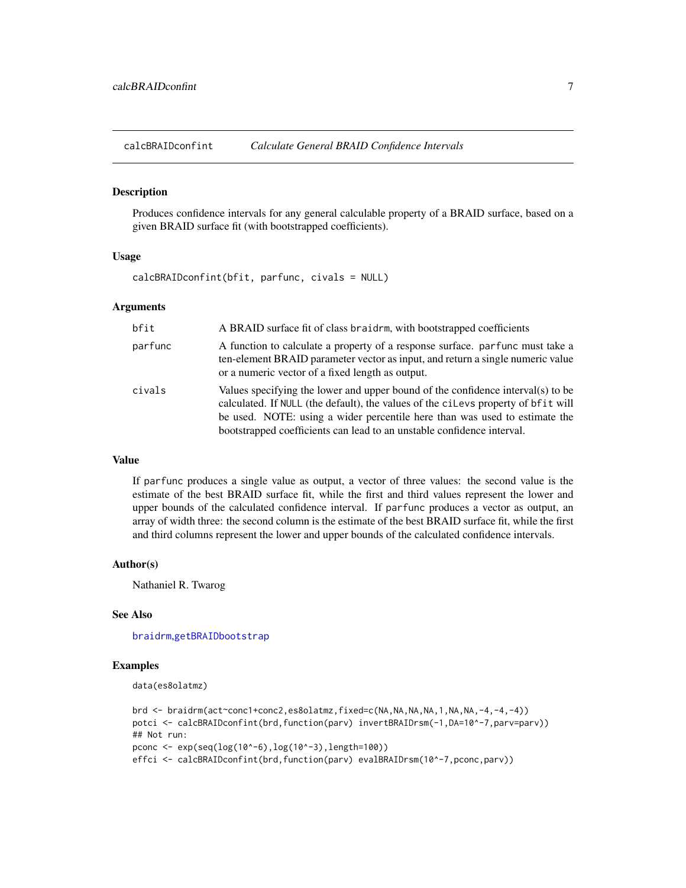<span id="page-6-1"></span><span id="page-6-0"></span>calcBRAIDconfint *Calculate General BRAID Confidence Intervals*

#### **Description**

Produces confidence intervals for any general calculable property of a BRAID surface, based on a given BRAID surface fit (with bootstrapped coefficients).

#### Usage

calcBRAIDconfint(bfit, parfunc, civals = NULL)

#### **Arguments**

| bfit    | A BRAID surface fit of class braid rm, with bootstrapped coefficients                                                                                                                                                                                                                                                        |
|---------|------------------------------------------------------------------------------------------------------------------------------------------------------------------------------------------------------------------------------------------------------------------------------------------------------------------------------|
| parfunc | A function to calculate a property of a response surface, parfunc must take a<br>ten-element BRAID parameter vector as input, and return a single numeric value<br>or a numeric vector of a fixed length as output.                                                                                                          |
| civals  | Values specifying the lower and upper bound of the confidence interval(s) to be<br>calculated. If NULL (the default), the values of the cilevs property of bfit will<br>be used. NOTE: using a wider percentile here than was used to estimate the<br>bootstrapped coefficients can lead to an unstable confidence interval. |

#### Value

If parfunc produces a single value as output, a vector of three values: the second value is the estimate of the best BRAID surface fit, while the first and third values represent the lower and upper bounds of the calculated confidence interval. If parfunc produces a vector as output, an array of width three: the second column is the estimate of the best BRAID surface fit, while the first and third columns represent the lower and upper bounds of the calculated confidence intervals.

#### Author(s)

Nathaniel R. Twarog

#### See Also

[braidrm](#page-1-1),[getBRAIDbootstrap](#page-16-1)

#### Examples

```
data(es8olatmz)
```

```
brd <- braidrm(act~conc1+conc2,es8olatmz,fixed=c(NA,NA,NA,NA,1,NA,NA,-4,-4,-4))
potci <- calcBRAIDconfint(brd,function(parv) invertBRAIDrsm(-1,DA=10^-7,parv=parv))
## Not run:
pconc <- exp(seq(log(10^-6),log(10^-3),length=100))
effci <- calcBRAIDconfint(brd, function(parv) evalBRAIDrsm(10^-7, pconc, parv))
```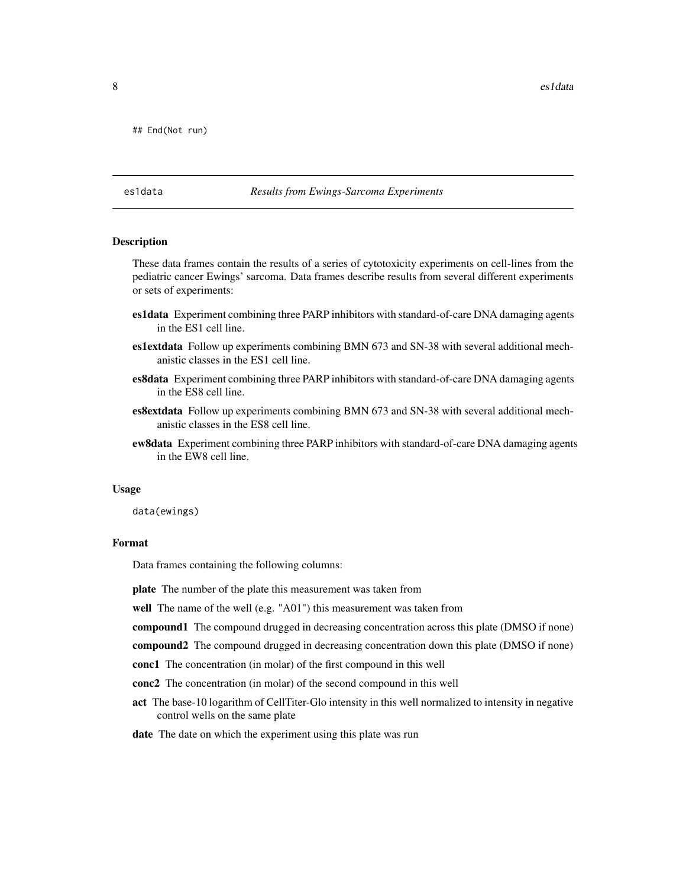<span id="page-7-0"></span>8 estada estado en el control de la control de la control de la control de la control de la control de la control de la control de la control de la control de la control de la control de la control de la control de la cont

## End(Not run)

#### es1data *Results from Ewings-Sarcoma Experiments*

#### Description

These data frames contain the results of a series of cytotoxicity experiments on cell-lines from the pediatric cancer Ewings' sarcoma. Data frames describe results from several different experiments or sets of experiments:

- es1data Experiment combining three PARP inhibitors with standard-of-care DNA damaging agents in the ES1 cell line.
- es1extdata Follow up experiments combining BMN 673 and SN-38 with several additional mechanistic classes in the ES1 cell line.
- es8data Experiment combining three PARP inhibitors with standard-of-care DNA damaging agents in the ES8 cell line.
- es8extdata Follow up experiments combining BMN 673 and SN-38 with several additional mechanistic classes in the ES8 cell line.
- ew8data Experiment combining three PARP inhibitors with standard-of-care DNA damaging agents in the EW8 cell line.

#### Usage

data(ewings)

# Format

Data frames containing the following columns:

plate The number of the plate this measurement was taken from

well The name of the well (e.g. "A01") this measurement was taken from

- compound2 The compound drugged in decreasing concentration down this plate (DMSO if none)
- conc1 The concentration (in molar) of the first compound in this well
- conc2 The concentration (in molar) of the second compound in this well
- act The base-10 logarithm of CellTiter-Glo intensity in this well normalized to intensity in negative control wells on the same plate
- date The date on which the experiment using this plate was run

compound1 The compound drugged in decreasing concentration across this plate (DMSO if none)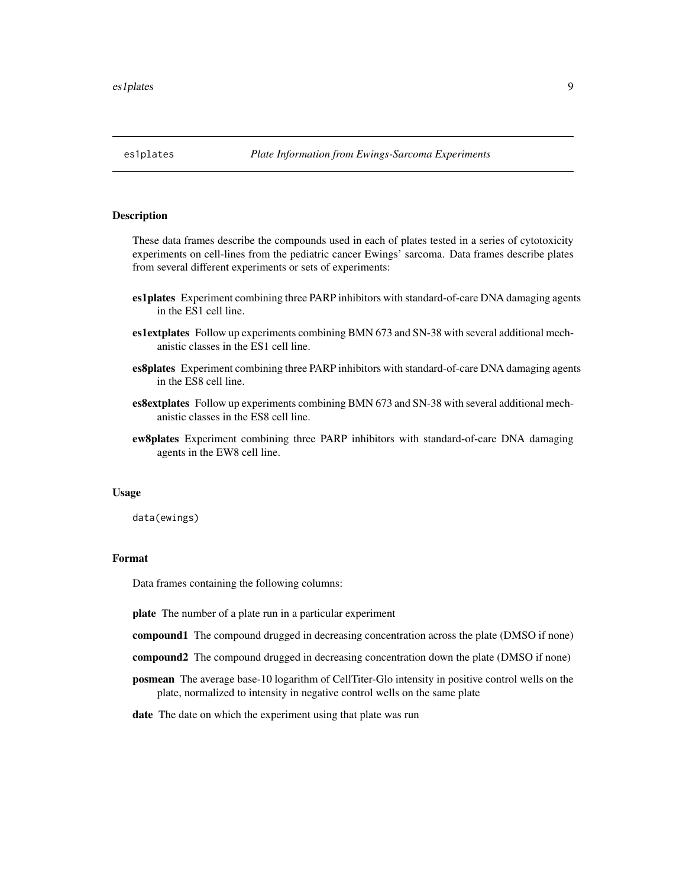<span id="page-8-0"></span>

#### Description

These data frames describe the compounds used in each of plates tested in a series of cytotoxicity experiments on cell-lines from the pediatric cancer Ewings' sarcoma. Data frames describe plates from several different experiments or sets of experiments:

- es1plates Experiment combining three PARP inhibitors with standard-of-care DNA damaging agents in the ES1 cell line.
- es1extplates Follow up experiments combining BMN 673 and SN-38 with several additional mechanistic classes in the ES1 cell line.
- es8plates Experiment combining three PARP inhibitors with standard-of-care DNA damaging agents in the ES8 cell line.
- es8extplates Follow up experiments combining BMN 673 and SN-38 with several additional mechanistic classes in the ES8 cell line.
- ew8plates Experiment combining three PARP inhibitors with standard-of-care DNA damaging agents in the EW8 cell line.

#### Usage

data(ewings)

#### Format

Data frames containing the following columns:

plate The number of a plate run in a particular experiment

compound1 The compound drugged in decreasing concentration across the plate (DMSO if none)

- compound2 The compound drugged in decreasing concentration down the plate (DMSO if none)
- posmean The average base-10 logarithm of CellTiter-Glo intensity in positive control wells on the plate, normalized to intensity in negative control wells on the same plate
- date The date on which the experiment using that plate was run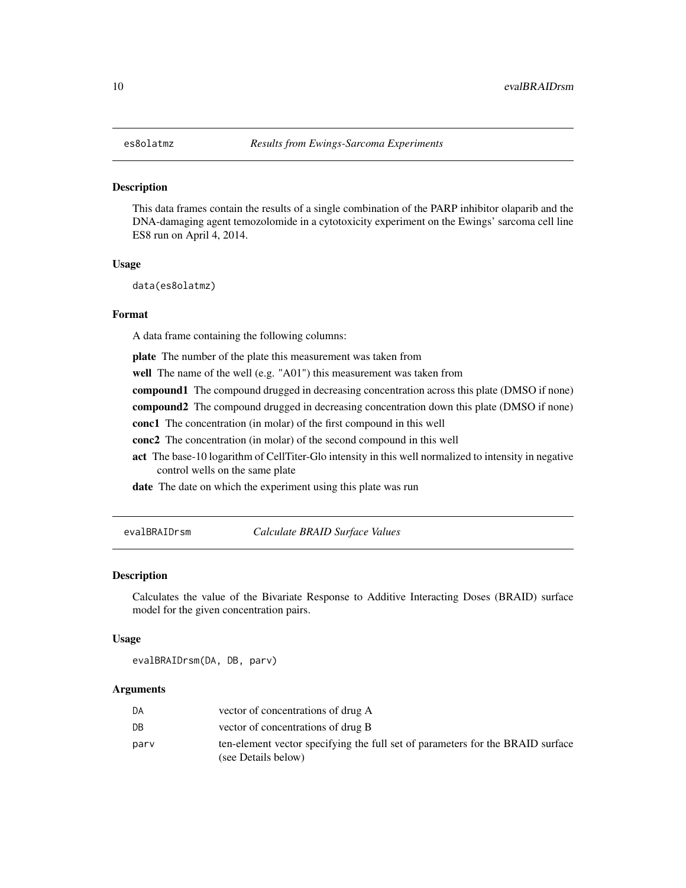#### <span id="page-9-0"></span>Description

This data frames contain the results of a single combination of the PARP inhibitor olaparib and the DNA-damaging agent temozolomide in a cytotoxicity experiment on the Ewings' sarcoma cell line ES8 run on April 4, 2014.

#### Usage

data(es8olatmz)

#### Format

A data frame containing the following columns:

plate The number of the plate this measurement was taken from

well The name of the well (e.g. "A01") this measurement was taken from

compound1 The compound drugged in decreasing concentration across this plate (DMSO if none)

compound2 The compound drugged in decreasing concentration down this plate (DMSO if none)

conc1 The concentration (in molar) of the first compound in this well

conc2 The concentration (in molar) of the second compound in this well

act The base-10 logarithm of CellTiter-Glo intensity in this well normalized to intensity in negative control wells on the same plate

date The date on which the experiment using this plate was run

<span id="page-9-1"></span>evalBRAIDrsm *Calculate BRAID Surface Values*

#### Description

Calculates the value of the Bivariate Response to Additive Interacting Doses (BRAID) surface model for the given concentration pairs.

#### Usage

evalBRAIDrsm(DA, DB, parv)

| DA   | vector of concentrations of drug A                                                                    |
|------|-------------------------------------------------------------------------------------------------------|
| DB   | vector of concentrations of drug B                                                                    |
| parv | ten-element vector specifying the full set of parameters for the BRAID surface<br>(see Details below) |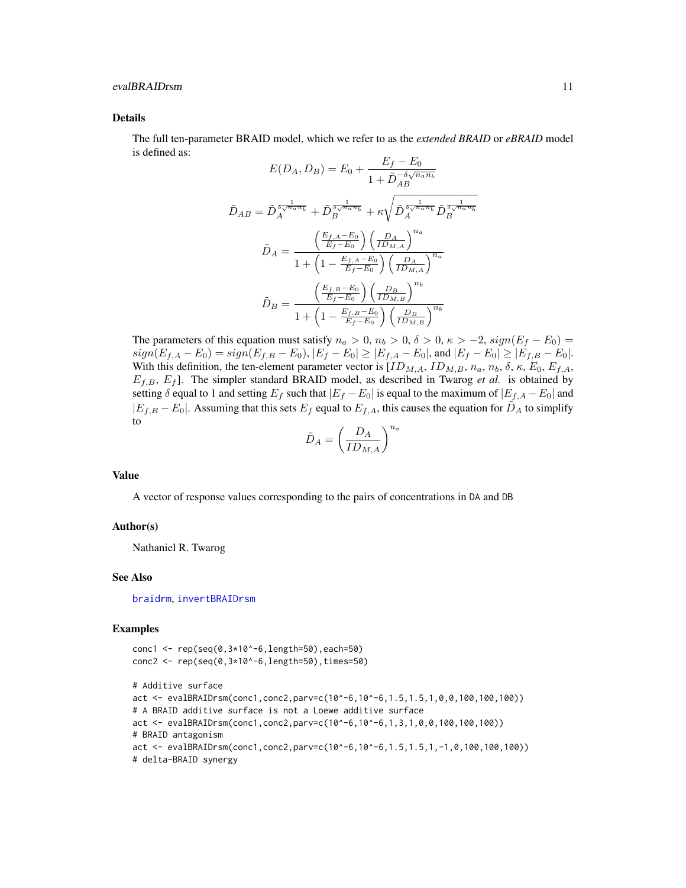#### <span id="page-10-0"></span>evalBRAIDrsm 11

#### Details

The full ten-parameter BRAID model, which we refer to as the *extended BRAID* or *eBRAID* model is defined as:

$$
E(D_A, D_B) = E_0 + \frac{E_f - E_0}{1 + \tilde{D}_{AB}^{-\delta \sqrt{n_a n_b}}}
$$

$$
\tilde{D}_{AB} = \tilde{D}_A^{\frac{1}{\delta \sqrt{n_a n_b}}} + \tilde{D}_B^{\frac{1}{\delta \sqrt{n_a n_b}}} + \kappa \sqrt{\tilde{D}_A^{\frac{1}{\delta \sqrt{n_a n_b}}} \tilde{D}_B^{\frac{1}{\delta \sqrt{n_a n_b}}}}
$$

$$
\tilde{D}_A = \frac{\left(\frac{E_{f,A} - E_0}{E_f - E_0}\right) \left(\frac{D_A}{ID_{M,A}}\right)^{n_a}}{1 + \left(1 - \frac{E_{f,A} - E_0}{E_f - E_0}\right) \left(\frac{D_A}{ID_{M,B}}\right)^{n_a}}
$$

$$
\tilde{D}_B = \frac{\left(\frac{E_{f,B} - E_0}{E_f - E_0}\right) \left(\frac{D_B}{ID_{M,B}}\right)^{n_b}}{1 + \left(1 - \frac{E_{f,B} - E_0}{E_f - E_0}\right) \left(\frac{D_B}{ID_{M,B}}\right)^{n_b}}
$$

The parameters of this equation must satisfy  $n_a > 0$ ,  $n_b > 0$ ,  $\delta > 0$ ,  $\kappa > -2$ ,  $sign(E_f - E_0) =$  $sign(E_{f,A} - E_0) = sign(E_{f,B} - E_0), |E_f - E_0| \geq |E_{f,A} - E_0|,$  and  $|E_f - E_0| \geq |E_{f,B} - E_0|$ . With this definition, the ten-element parameter vector is  $[ID_{M,A}, ID_{M,B}, n_a, n_b, \delta, \kappa, E_0, E_{f,A},$  $E_{f,B}, E_f$ ]. The simpler standard BRAID model, as described in Twarog *et al.* is obtained by setting  $\delta$  equal to 1 and setting  $E_f$  such that  $|E_f - E_0|$  is equal to the maximum of  $|E_{f,A} - E_0|$  and  $|E_{f,B} - E_0|$ . Assuming that this sets  $E_f$  equal to  $E_{f,A}$ , this causes the equation for  $\tilde{D}_A$  to simplify to

$$
\tilde{D}_A = \left(\frac{D_A}{ID_{M,A}}\right)^{n_a}
$$

#### Value

A vector of response values corresponding to the pairs of concentrations in DA and DB

#### Author(s)

Nathaniel R. Twarog

#### See Also

[braidrm](#page-1-1), [invertBRAIDrsm](#page-20-1)

#### Examples

```
conc1 <- rep(seq(0,3*10^-6,length=50),each=50)
conc2 <- rep(seq(0,3*10^-6,length=50),times=50)
# Additive surface
act <- evalBRAIDrsm(conc1,conc2,parv=c(10^-6,10^-6,1.5,1.5,1,0,0,100,100,100))
# A BRAID additive surface is not a Loewe additive surface
act <- evalBRAIDrsm(conc1,conc2,parv=c(10^-6,10^-6,1,3,1,0,0,100,100,100))
# BRAID antagonism
act <- evalBRAIDrsm(conc1,conc2,parv=c(10^-6,10^-6,1.5,1.5,1,-1,0,100,100,100))
# delta-BRAID synergy
```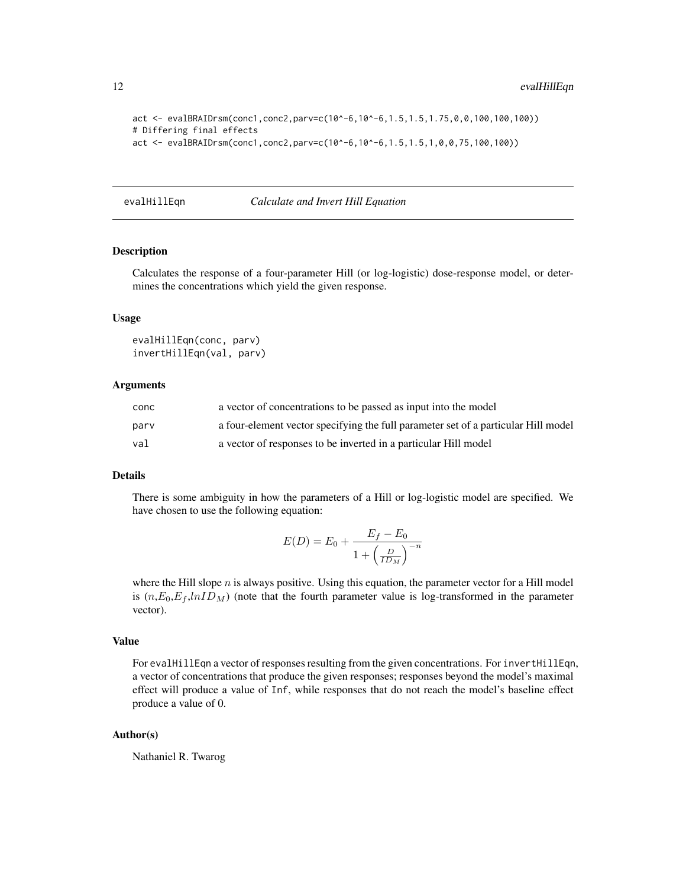```
act <- evalBRAIDrsm(conc1,conc2,parv=c(10^-6,10^-6,1.5,1.5,1.75,0,0,100,100,100))
# Differing final effects
act <- evalBRAIDrsm(conc1,conc2,parv=c(10^-6,10^-6,1.5,1.5,1,0,0,75,100,100))
```
<span id="page-11-1"></span>evalHillEqn *Calculate and Invert Hill Equation*

#### Description

Calculates the response of a four-parameter Hill (or log-logistic) dose-response model, or determines the concentrations which yield the given response.

#### Usage

```
evalHillEqn(conc, parv)
invertHillEqn(val, parv)
```
#### Arguments

| conc | a vector of concentrations to be passed as input into the model                    |
|------|------------------------------------------------------------------------------------|
| parv | a four-element vector specifying the full parameter set of a particular Hill model |
| val  | a vector of responses to be inverted in a particular Hill model                    |

### Details

There is some ambiguity in how the parameters of a Hill or log-logistic model are specified. We have chosen to use the following equation:

$$
E(D) = E_0 + \frac{E_f - E_0}{1 + \left(\frac{D}{ID_M}\right)^{-n}}
$$

where the Hill slope  $n$  is always positive. Using this equation, the parameter vector for a Hill model is  $(n, E_0, E_f, lnID_M)$  (note that the fourth parameter value is log-transformed in the parameter vector).

### Value

For evalHillEqn a vector of responses resulting from the given concentrations. For invertHillEqn, a vector of concentrations that produce the given responses; responses beyond the model's maximal effect will produce a value of Inf, while responses that do not reach the model's baseline effect produce a value of 0.

# Author(s)

Nathaniel R. Twarog

<span id="page-11-0"></span>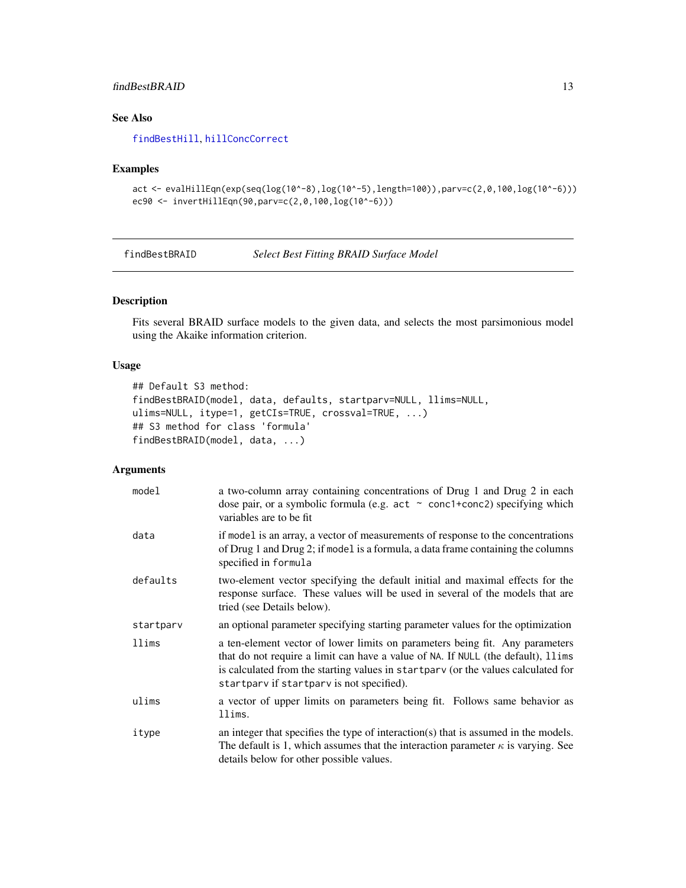# <span id="page-12-0"></span>findBestBRAID 13

# See Also

[findBestHill](#page-14-1), [hillConcCorrect](#page-19-1)

#### Examples

```
act <- evalHillEqn(exp(seq(log(10^-8),log(10^-5),length=100)),parv=c(2,0,100,log(10^-6)))
ec90 <- invertHillEqn(90,parv=c(2,0,100,log(10^-6)))
```
<span id="page-12-1"></span>findBestBRAID *Select Best Fitting BRAID Surface Model*

# Description

Fits several BRAID surface models to the given data, and selects the most parsimonious model using the Akaike information criterion.

# Usage

```
## Default S3 method:
findBestBRAID(model, data, defaults, startparv=NULL, llims=NULL,
ulims=NULL, itype=1, getCIs=TRUE, crossval=TRUE, ...)
## S3 method for class 'formula'
findBestBRAID(model, data, ...)
```

| model     | a two-column array containing concentrations of Drug 1 and Drug 2 in each<br>dose pair, or a symbolic formula (e.g. $act \sim conc1+conc2$ ) specifying which<br>variables are to be fit                                                                                                           |
|-----------|----------------------------------------------------------------------------------------------------------------------------------------------------------------------------------------------------------------------------------------------------------------------------------------------------|
| data      | if model is an array, a vector of measurements of response to the concentrations<br>of Drug 1 and Drug 2; if model is a formula, a data frame containing the columns<br>specified in formula                                                                                                       |
| defaults  | two-element vector specifying the default initial and maximal effects for the<br>response surface. These values will be used in several of the models that are<br>tried (see Details below).                                                                                                       |
| startparv | an optional parameter specifying starting parameter values for the optimization                                                                                                                                                                                                                    |
| llims     | a ten-element vector of lower limits on parameters being fit. Any parameters<br>that do not require a limit can have a value of NA. If NULL (the default), 11ims<br>is calculated from the starting values in startparv (or the values calculated for<br>startparv if startparv is not specified). |
| ulims     | a vector of upper limits on parameters being fit. Follows same behavior as<br>llims.                                                                                                                                                                                                               |
| itype     | an integer that specifies the type of interaction(s) that is assumed in the models.<br>The default is 1, which assumes that the interaction parameter $\kappa$ is varying. See<br>details below for other possible values.                                                                         |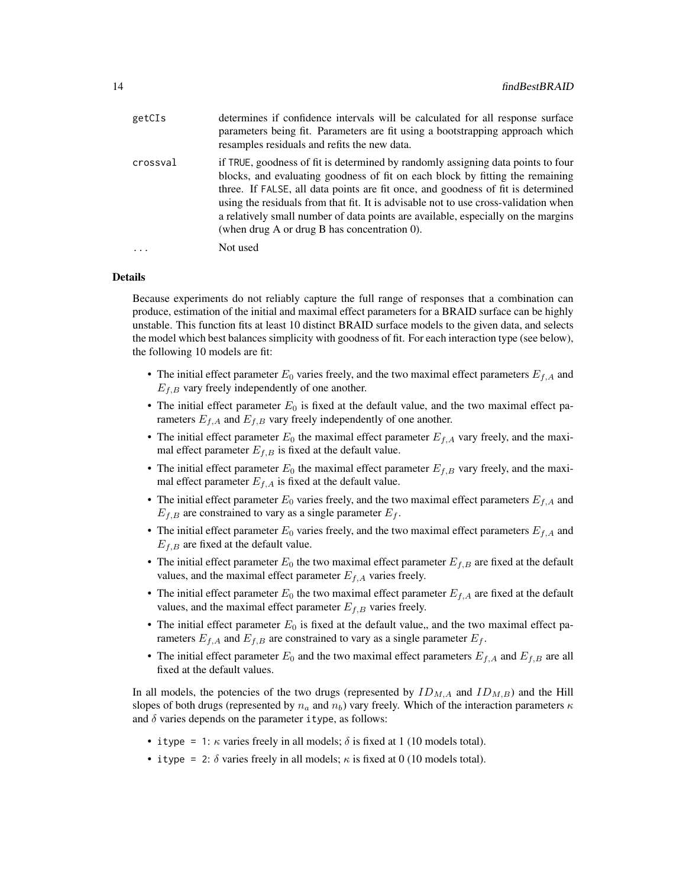| getCIs   | determines if confidence intervals will be calculated for all response surface<br>parameters being fit. Parameters are fit using a bootstrapping approach which<br>resamples residuals and refits the new data.                                                                                                                                                                                                                                                                      |
|----------|--------------------------------------------------------------------------------------------------------------------------------------------------------------------------------------------------------------------------------------------------------------------------------------------------------------------------------------------------------------------------------------------------------------------------------------------------------------------------------------|
| crossval | if TRUE, goodness of fit is determined by randomly assigning data points to four<br>blocks, and evaluating goodness of fit on each block by fitting the remaining<br>three. If FALSE, all data points are fit once, and goodness of fit is determined<br>using the residuals from that fit. It is advisable not to use cross-validation when<br>a relatively small number of data points are available, especially on the margins<br>(when drug A or drug B has concentration $0$ ). |
| $\cdots$ | Not used                                                                                                                                                                                                                                                                                                                                                                                                                                                                             |

#### Details

Because experiments do not reliably capture the full range of responses that a combination can produce, estimation of the initial and maximal effect parameters for a BRAID surface can be highly unstable. This function fits at least 10 distinct BRAID surface models to the given data, and selects the model which best balances simplicity with goodness of fit. For each interaction type (see below), the following 10 models are fit:

- The initial effect parameter  $E_0$  varies freely, and the two maximal effect parameters  $E_{f,A}$  and  $E_{f,B}$  vary freely independently of one another.
- The initial effect parameter  $E_0$  is fixed at the default value, and the two maximal effect parameters  $E_{f,A}$  and  $E_{f,B}$  vary freely independently of one another.
- The initial effect parameter  $E_0$  the maximal effect parameter  $E_{f,A}$  vary freely, and the maximal effect parameter  $E_{f,B}$  is fixed at the default value.
- The initial effect parameter  $E_0$  the maximal effect parameter  $E_{f,B}$  vary freely, and the maximal effect parameter  $E_{f,A}$  is fixed at the default value.
- The initial effect parameter  $E_0$  varies freely, and the two maximal effect parameters  $E_{f,A}$  and  $E_{f,B}$  are constrained to vary as a single parameter  $E_f$ .
- The initial effect parameter  $E_0$  varies freely, and the two maximal effect parameters  $E_{f,A}$  and  $E_{f,B}$  are fixed at the default value.
- The initial effect parameter  $E_0$  the two maximal effect parameter  $E_{f,B}$  are fixed at the default values, and the maximal effect parameter  $E_{f,A}$  varies freely.
- The initial effect parameter  $E_0$  the two maximal effect parameter  $E_{f,A}$  are fixed at the default values, and the maximal effect parameter  $E_{f,B}$  varies freely.
- The initial effect parameter  $E_0$  is fixed at the default value,, and the two maximal effect parameters  $E_{f,A}$  and  $E_{f,B}$  are constrained to vary as a single parameter  $E_f$ .
- The initial effect parameter  $E_0$  and the two maximal effect parameters  $E_{f,A}$  and  $E_{f,B}$  are all fixed at the default values.

In all models, the potencies of the two drugs (represented by  $ID_{M,A}$  and  $ID_{M,B}$ ) and the Hill slopes of both drugs (represented by  $n_a$  and  $n_b$ ) vary freely. Which of the interaction parameters  $\kappa$ and  $\delta$  varies depends on the parameter itype, as follows:

- itype = 1:  $\kappa$  varies freely in all models;  $\delta$  is fixed at 1 (10 models total).
- itype = 2:  $\delta$  varies freely in all models;  $\kappa$  is fixed at 0 (10 models total).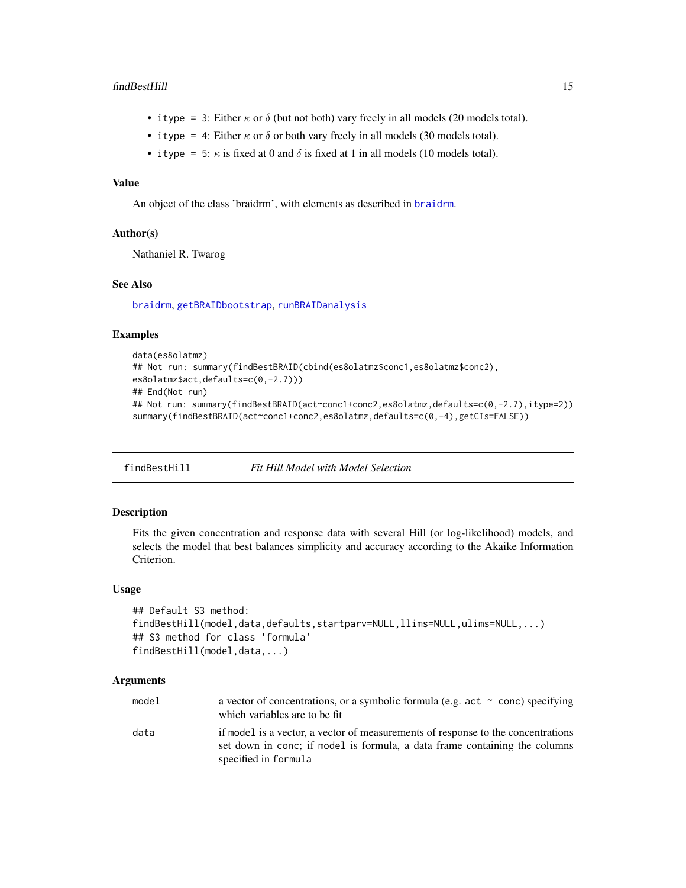#### <span id="page-14-0"></span>findBestHill 15

- itype = 3: Either  $\kappa$  or  $\delta$  (but not both) vary freely in all models (20 models total).
- itype = 4: Either  $\kappa$  or  $\delta$  or both vary freely in all models (30 models total).
- itype = 5:  $\kappa$  is fixed at 0 and  $\delta$  is fixed at 1 in all models (10 models total).

#### Value

An object of the class 'braidrm', with elements as described in [braidrm](#page-1-1).

#### Author(s)

Nathaniel R. Twarog

#### See Also

[braidrm](#page-1-1), [getBRAIDbootstrap](#page-16-1), [runBRAIDanalysis](#page-21-1)

#### Examples

```
data(es8olatmz)
## Not run: summary(findBestBRAID(cbind(es8olatmz$conc1,es8olatmz$conc2),
es8olatmz$act,defaults=c(0,-2.7)))
## End(Not run)
## Not run: summary(findBestBRAID(act~conc1+conc2,es8olatmz,defaults=c(0,-2.7),itype=2))
summary(findBestBRAID(act~conc1+conc2,es8olatmz,defaults=c(0,-4),getCIs=FALSE))
```
<span id="page-14-1"></span>findBestHill *Fit Hill Model with Model Selection*

#### Description

Fits the given concentration and response data with several Hill (or log-likelihood) models, and selects the model that best balances simplicity and accuracy according to the Akaike Information Criterion.

#### Usage

```
## Default S3 method:
findBestHill(model,data,defaults,startparv=NULL,llims=NULL,ulims=NULL,...)
## S3 method for class 'formula'
findBestHill(model,data,...)
```

| model | a vector of concentrations, or a symbolic formula (e.g. act $\sim$ conc) specifying<br>which variables are to be fit                                                                   |
|-------|----------------------------------------------------------------------------------------------------------------------------------------------------------------------------------------|
| data  | if model is a vector, a vector of measurements of response to the concentrations<br>set down in conc; if model is formula, a data frame containing the columns<br>specified in formula |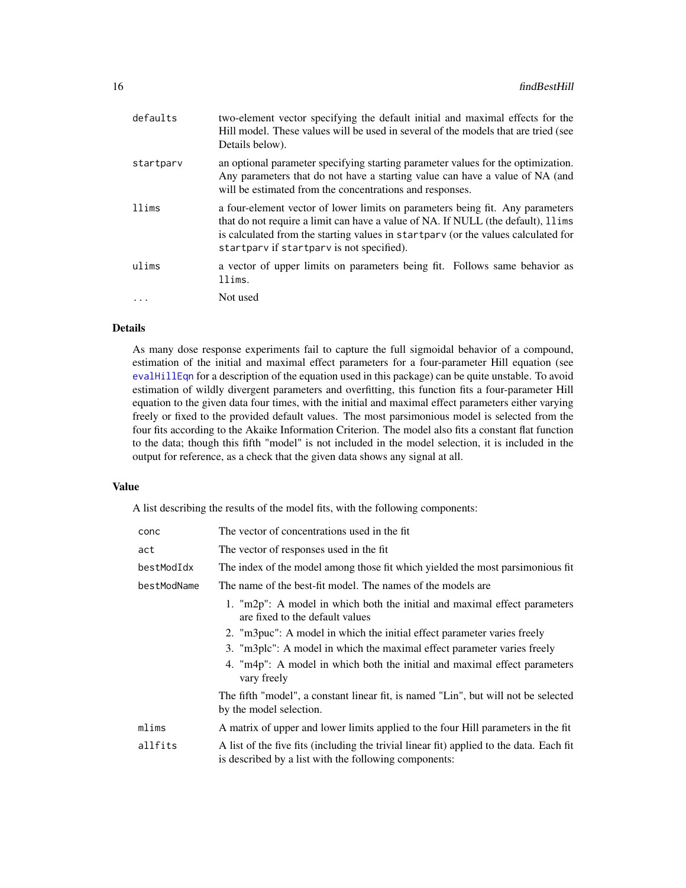<span id="page-15-0"></span>

| defaults  | two-element vector specifying the default initial and maximal effects for the<br>Hill model. These values will be used in several of the models that are tried (see<br>Details below).                                                                                                               |
|-----------|------------------------------------------------------------------------------------------------------------------------------------------------------------------------------------------------------------------------------------------------------------------------------------------------------|
| startparv | an optional parameter specifying starting parameter values for the optimization.<br>Any parameters that do not have a starting value can have a value of NA (and<br>will be estimated from the concentrations and responses.                                                                         |
| llims     | a four-element vector of lower limits on parameters being fit. Any parameters<br>that do not require a limit can have a value of NA. If NULL (the default), 11 ims<br>is calculated from the starting values in startpary (or the values calculated for<br>startpary if startpary is not specified). |
| ulims     | a vector of upper limits on parameters being fit. Follows same behavior as<br>llims.                                                                                                                                                                                                                 |
|           | Not used                                                                                                                                                                                                                                                                                             |

# Details

As many dose response experiments fail to capture the full sigmoidal behavior of a compound, estimation of the initial and maximal effect parameters for a four-parameter Hill equation (see [evalHillEqn](#page-11-1) for a description of the equation used in this package) can be quite unstable. To avoid estimation of wildly divergent parameters and overfitting, this function fits a four-parameter Hill equation to the given data four times, with the initial and maximal effect parameters either varying freely or fixed to the provided default values. The most parsimonious model is selected from the four fits according to the Akaike Information Criterion. The model also fits a constant flat function to the data; though this fifth "model" is not included in the model selection, it is included in the output for reference, as a check that the given data shows any signal at all.

#### Value

A list describing the results of the model fits, with the following components:

| conc        | The vector of concentrations used in the fit.                                                                                                     |
|-------------|---------------------------------------------------------------------------------------------------------------------------------------------------|
| act         | The vector of responses used in the fit                                                                                                           |
| bestModIdx  | The index of the model among those fit which yielded the most paraimonious fit                                                                    |
| bestModName | The name of the best-fit model. The names of the models are                                                                                       |
|             | 1. "m2p": A model in which both the initial and maximal effect parameters<br>are fixed to the default values                                      |
|             | 2. "m3puc": A model in which the initial effect parameter varies freely                                                                           |
|             | 3. "m3plc": A model in which the maximal effect parameter varies freely                                                                           |
|             | 4. "m4p": A model in which both the initial and maximal effect parameters<br>vary freely                                                          |
|             | The fifth "model", a constant linear fit, is named "Lin", but will not be selected<br>by the model selection.                                     |
| mlims       | A matrix of upper and lower limits applied to the four Hill parameters in the fit                                                                 |
| allfits     | A list of the five fits (including the trivial linear fit) applied to the data. Each fit<br>is described by a list with the following components: |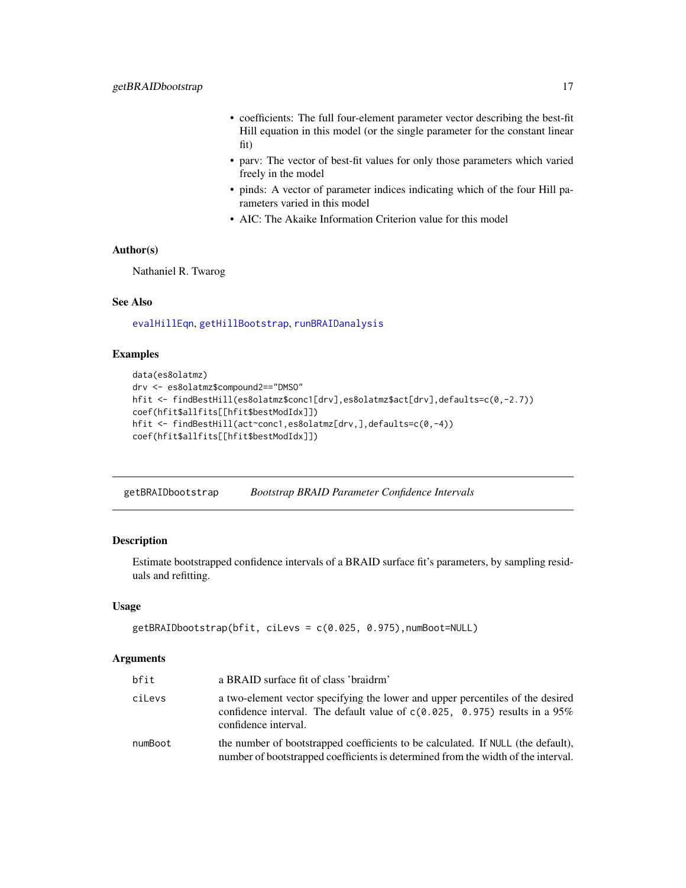- <span id="page-16-0"></span>• coefficients: The full four-element parameter vector describing the best-fit Hill equation in this model (or the single parameter for the constant linear fit)
- parv: The vector of best-fit values for only those parameters which varied freely in the model
- pinds: A vector of parameter indices indicating which of the four Hill parameters varied in this model
- AIC: The Akaike Information Criterion value for this model

# Author(s)

Nathaniel R. Twarog

# See Also

[evalHillEqn](#page-11-1), [getHillBootstrap](#page-17-1), [runBRAIDanalysis](#page-21-1)

#### Examples

```
data(es8olatmz)
drv <- es8olatmz$compound2=="DMSO"
hfit <- findBestHill(es8olatmz$conc1[drv],es8olatmz$act[drv],defaults=c(0,-2.7))
coef(hfit$allfits[[hfit$bestModIdx]])
hfit <- findBestHill(act~conc1,es8olatmz[drv,],defaults=c(0,-4))
coef(hfit$allfits[[hfit$bestModIdx]])
```
<span id="page-16-1"></span>getBRAIDbootstrap *Bootstrap BRAID Parameter Confidence Intervals*

#### Description

Estimate bootstrapped confidence intervals of a BRAID surface fit's parameters, by sampling residuals and refitting.

#### Usage

```
getBRAIDbootstrap(bfit, ciLevs = c(0.025, 0.975),numBoot=NULL)
```

| bfit    | a BRAID surface fit of class 'braidrm'                                                                                                                                                 |
|---------|----------------------------------------------------------------------------------------------------------------------------------------------------------------------------------------|
| ciLevs  | a two-element vector specifying the lower and upper percentiles of the desired<br>confidence interval. The default value of $c(0.025, 0.975)$ results in a 95%<br>confidence interval. |
| numBoot | the number of bootstrapped coefficients to be calculated. If NULL (the default),<br>number of bootstrapped coefficients is determined from the width of the interval.                  |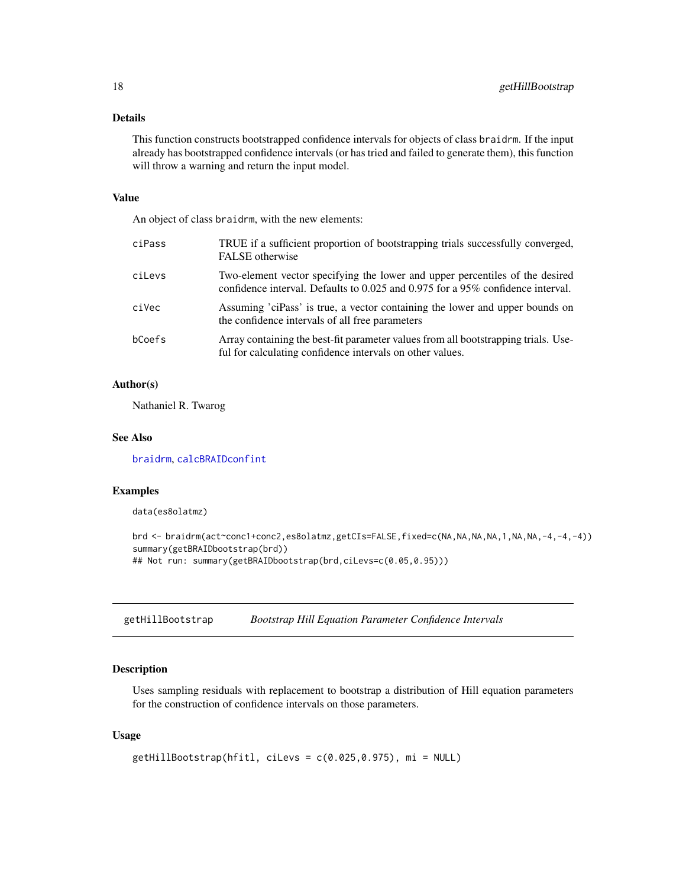#### <span id="page-17-0"></span>Details

This function constructs bootstrapped confidence intervals for objects of class braidrm. If the input already has bootstrapped confidence intervals (or has tried and failed to generate them), this function will throw a warning and return the input model.

# Value

An object of class braidrm, with the new elements:

| ciPass | TRUE if a sufficient proportion of bootstrapping trials successfully converged,<br>FALSE otherwise                                                              |
|--------|-----------------------------------------------------------------------------------------------------------------------------------------------------------------|
| ciLevs | Two-element vector specifying the lower and upper percentiles of the desired<br>confidence interval. Defaults to 0.025 and 0.975 for a 95% confidence interval. |
| ciVec  | Assuming 'ciPass' is true, a vector containing the lower and upper bounds on<br>the confidence intervals of all free parameters                                 |
| bCoefs | Array containing the best-fit parameter values from all bootstrapping trials. Use-<br>ful for calculating confidence intervals on other values.                 |

#### Author(s)

Nathaniel R. Twarog

#### See Also

[braidrm](#page-1-1), [calcBRAIDconfint](#page-6-1)

#### Examples

data(es8olatmz)

```
brd <- braidrm(act~conc1+conc2,es8olatmz,getCIs=FALSE,fixed=c(NA,NA,NA,NA,1,NA,NA,-4,-4,-4))
summary(getBRAIDbootstrap(brd))
## Not run: summary(getBRAIDbootstrap(brd,ciLevs=c(0.05,0.95)))
```
<span id="page-17-1"></span>getHillBootstrap *Bootstrap Hill Equation Parameter Confidence Intervals*

#### Description

Uses sampling residuals with replacement to bootstrap a distribution of Hill equation parameters for the construction of confidence intervals on those parameters.

# Usage

```
getHillBootstrap(hfitl, ciLevs = c(0.025,0.975), mi = NULL)
```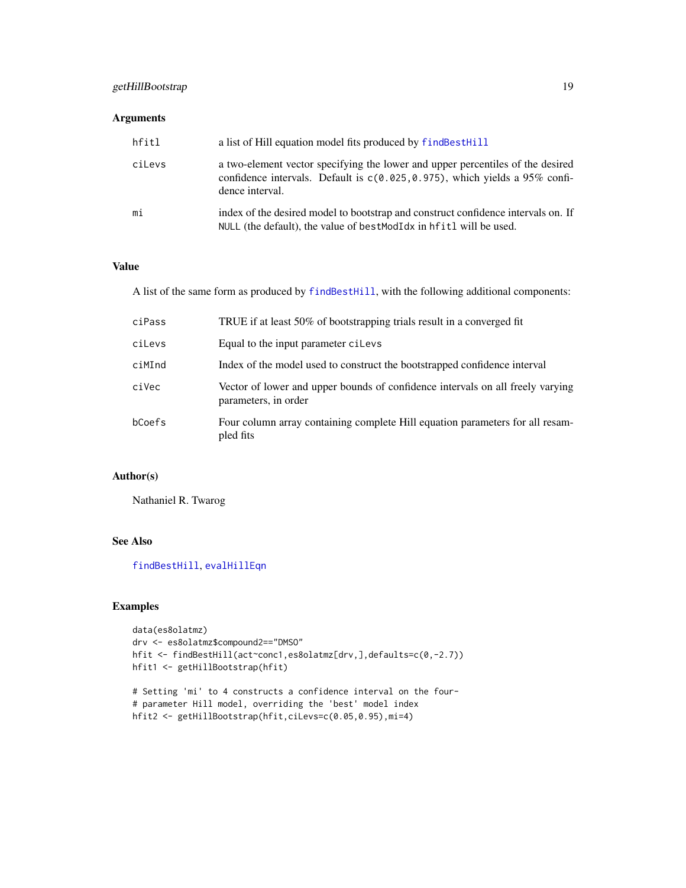# <span id="page-18-0"></span>getHillBootstrap 19

# Arguments

| hfitl  | a list of Hill equation model fits produced by find Best Hill                                                                                                                       |
|--------|-------------------------------------------------------------------------------------------------------------------------------------------------------------------------------------|
| ciLevs | a two-element vector specifying the lower and upper percentiles of the desired<br>confidence intervals. Default is $c(0.025, 0.975)$ , which yields a 95% confi-<br>dence interval. |
| mi     | index of the desired model to bootstrap and construct confidence intervals on. If<br>NULL (the default), the value of bestModIdx in hfitl will be used.                             |

# Value

A list of the same form as produced by [findBestHill](#page-14-1), with the following additional components:

| ciPass | TRUE if at least 50% of bootstrapping trials result in a converged fit                                 |
|--------|--------------------------------------------------------------------------------------------------------|
| ciLevs | Equal to the input parameter cillevs                                                                   |
| ciMInd | Index of the model used to construct the bootstrapped confidence interval                              |
| ciVec  | Vector of lower and upper bounds of confidence intervals on all freely varying<br>parameters, in order |
| bCoefs | Four column array containing complete Hill equation parameters for all resam-<br>pled fits             |

# Author(s)

Nathaniel R. Twarog

# See Also

[findBestHill](#page-14-1), [evalHillEqn](#page-11-1)

# Examples

```
data(es8olatmz)
drv <- es8olatmz$compound2=="DMSO"
hfit <- findBestHill(act~conc1,es8olatmz[drv,],defaults=c(0,-2.7))
hfit1 <- getHillBootstrap(hfit)
# Setting 'mi' to 4 constructs a confidence interval on the four-
# parameter Hill model, overriding the 'best' model index
hfit2 <- getHillBootstrap(hfit,ciLevs=c(0.05,0.95),mi=4)
```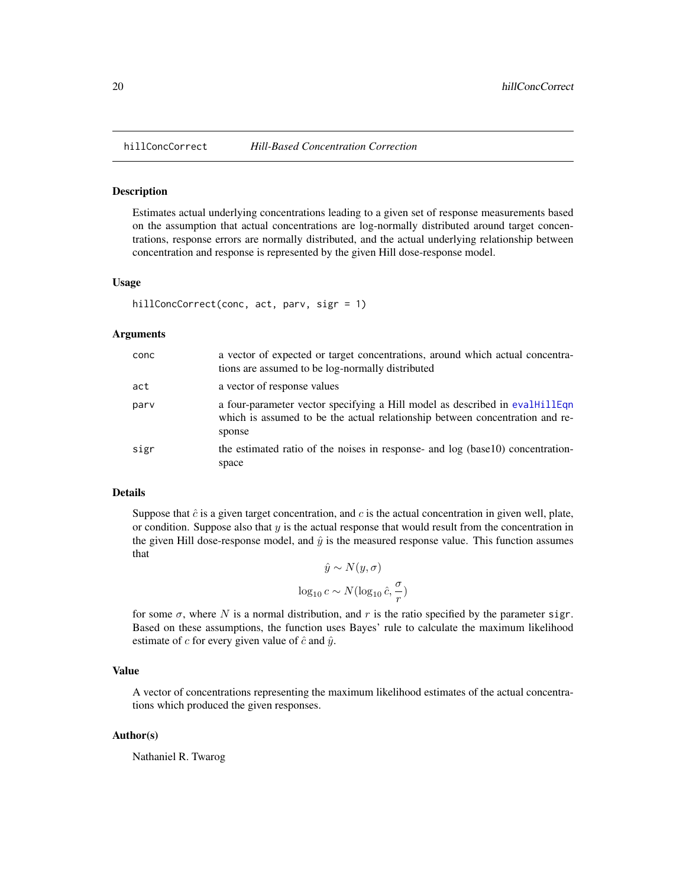<span id="page-19-1"></span><span id="page-19-0"></span>

#### Description

Estimates actual underlying concentrations leading to a given set of response measurements based on the assumption that actual concentrations are log-normally distributed around target concentrations, response errors are normally distributed, and the actual underlying relationship between concentration and response is represented by the given Hill dose-response model.

#### Usage

```
hillConcCorrect(conc, act, parv, sigr = 1)
```
#### Arguments

| conc | a vector of expected or target concentrations, around which actual concentra-<br>tions are assumed to be log-normally distributed                                     |
|------|-----------------------------------------------------------------------------------------------------------------------------------------------------------------------|
| act  | a vector of response values                                                                                                                                           |
| parv | a four-parameter vector specifying a Hill model as described in evalHillEqn<br>which is assumed to be the actual relationship between concentration and re-<br>sponse |
| sigr | the estimated ratio of the noises in response- and log (base10) concentration-<br>space                                                                               |

#### Details

Suppose that  $\hat{c}$  is a given target concentration, and c is the actual concentration in given well, plate, or condition. Suppose also that  $y$  is the actual response that would result from the concentration in the given Hill dose-response model, and  $\hat{y}$  is the measured response value. This function assumes that

$$
\hat{y} \sim N(y, \sigma)
$$

$$
\log_{10} c \sim N(\log_{10} \hat{c}, \frac{\sigma}{r})
$$

for some  $\sigma$ , where N is a normal distribution, and r is the ratio specified by the parameter sigr. Based on these assumptions, the function uses Bayes' rule to calculate the maximum likelihood estimate of c for every given value of  $\hat{c}$  and  $\hat{y}$ .

#### Value

A vector of concentrations representing the maximum likelihood estimates of the actual concentrations which produced the given responses.

#### Author(s)

Nathaniel R. Twarog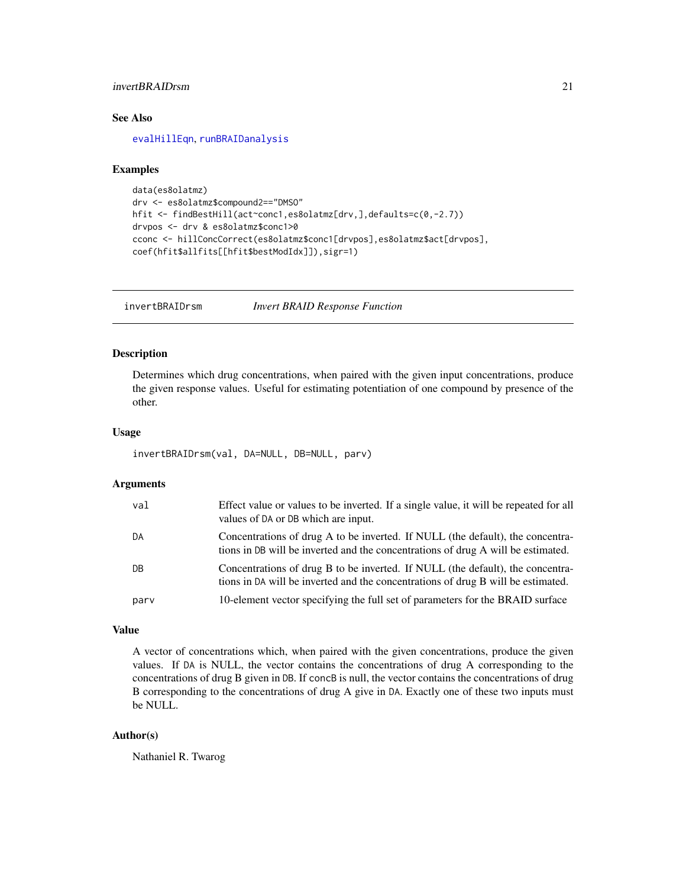# <span id="page-20-0"></span>invertBRAIDrsm 21

# See Also

[evalHillEqn](#page-11-1), [runBRAIDanalysis](#page-21-1)

#### Examples

```
data(es8olatmz)
drv <- es8olatmz$compound2=="DMSO"
hfit <- findBestHill(act~conc1,es8olatmz[drv,],defaults=c(0,-2.7))
drvpos <- drv & es8olatmz$conc1>0
cconc <- hillConcCorrect(es8olatmz$conc1[drvpos],es8olatmz$act[drvpos],
coef(hfit$allfits[[hfit$bestModIdx]]),sigr=1)
```
<span id="page-20-1"></span>invertBRAIDrsm *Invert BRAID Response Function*

#### Description

Determines which drug concentrations, when paired with the given input concentrations, produce the given response values. Useful for estimating potentiation of one compound by presence of the other.

#### Usage

```
invertBRAIDrsm(val, DA=NULL, DB=NULL, parv)
```
#### Arguments

| val  | Effect value or values to be inverted. If a single value, it will be repeated for all<br>values of DA or DB which are input.                                       |
|------|--------------------------------------------------------------------------------------------------------------------------------------------------------------------|
| DA   | Concentrations of drug A to be inverted. If NULL (the default), the concentra-<br>tions in DB will be inverted and the concentrations of drug A will be estimated. |
| DB   | Concentrations of drug B to be inverted. If NULL (the default), the concentra-<br>tions in DA will be inverted and the concentrations of drug B will be estimated. |
| parv | 10-element vector specifying the full set of parameters for the BRAID surface                                                                                      |

#### Value

A vector of concentrations which, when paired with the given concentrations, produce the given values. If DA is NULL, the vector contains the concentrations of drug A corresponding to the concentrations of drug B given in DB. If concB is null, the vector contains the concentrations of drug B corresponding to the concentrations of drug A give in DA. Exactly one of these two inputs must be NULL.

# Author(s)

Nathaniel R. Twarog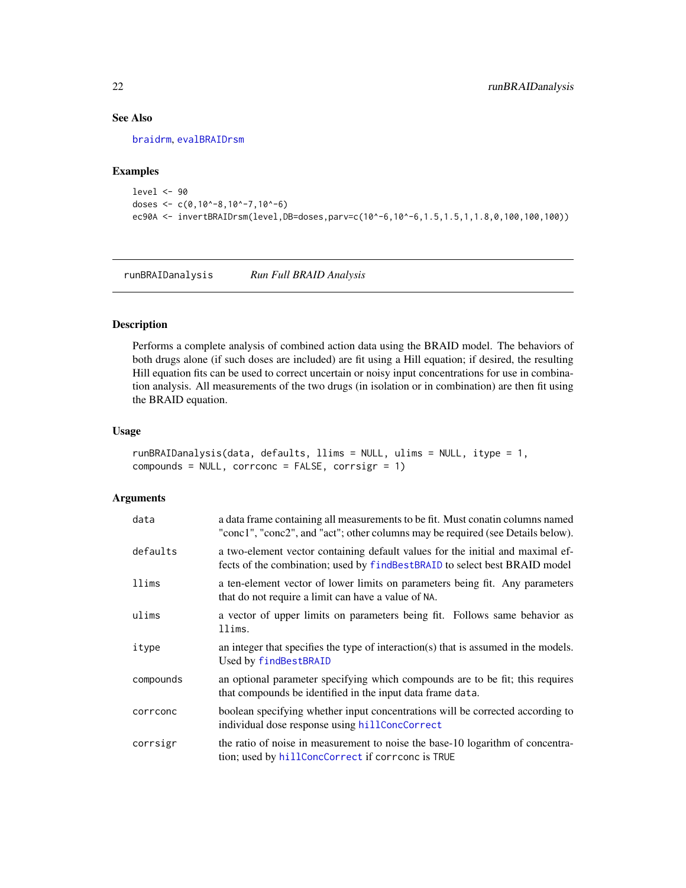# See Also

[braidrm](#page-1-1), [evalBRAIDrsm](#page-9-1)

#### Examples

```
level <- 90
doses <- c(0,10^-8,10^-7,10^-6)
ec90A <- invertBRAIDrsm(level,DB=doses,parv=c(10^-6,10^-6,1.5,1.5,1,1.8,0,100,100,100))
```
<span id="page-21-1"></span>runBRAIDanalysis *Run Full BRAID Analysis*

#### Description

Performs a complete analysis of combined action data using the BRAID model. The behaviors of both drugs alone (if such doses are included) are fit using a Hill equation; if desired, the resulting Hill equation fits can be used to correct uncertain or noisy input concentrations for use in combination analysis. All measurements of the two drugs (in isolation or in combination) are then fit using the BRAID equation.

# Usage

```
runBRAIDanalysis(data, defaults, llims = NULL, ulims = NULL, itype = 1,
compounds = NULL, corrconc = FALSE, corrsigr = 1)
```

| data      | a data frame containing all measurements to be fit. Must conatin columns named<br>"conc1", "conc2", and "act"; other columns may be required (see Details below). |
|-----------|-------------------------------------------------------------------------------------------------------------------------------------------------------------------|
| defaults  | a two-element vector containing default values for the initial and maximal ef-<br>fects of the combination; used by findBestBRAID to select best BRAID model      |
| llims     | a ten-element vector of lower limits on parameters being fit. Any parameters<br>that do not require a limit can have a value of NA.                               |
| ulims     | a vector of upper limits on parameters being fit. Follows same behavior as<br>llims.                                                                              |
| itype     | an integer that specifies the type of interaction(s) that is assumed in the models.<br>Used by findBestBRAID                                                      |
| compounds | an optional parameter specifying which compounds are to be fit; this requires<br>that compounds be identified in the input data frame data.                       |
| corrconc  | boolean specifying whether input concentrations will be corrected according to<br>individual dose response using hillConcCorrect                                  |
| corrsigr  | the ratio of noise in measurement to noise the base-10 logarithm of concentra-<br>tion; used by hillConcCorrect if correone is TRUE                               |

<span id="page-21-0"></span>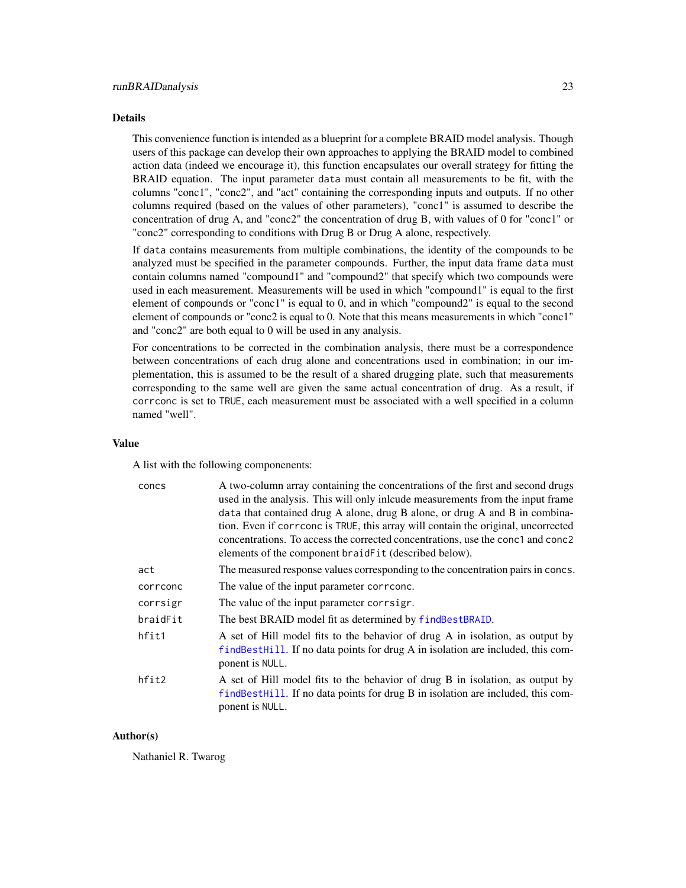#### <span id="page-22-0"></span>Details

This convenience function is intended as a blueprint for a complete BRAID model analysis. Though users of this package can develop their own approaches to applying the BRAID model to combined action data (indeed we encourage it), this function encapsulates our overall strategy for fitting the BRAID equation. The input parameter data must contain all measurements to be fit, with the columns "conc1", "conc2", and "act" containing the corresponding inputs and outputs. If no other columns required (based on the values of other parameters), "conc1" is assumed to describe the concentration of drug A, and "conc2" the concentration of drug B, with values of 0 for "conc1" or "conc2" corresponding to conditions with Drug B or Drug A alone, respectively.

If data contains measurements from multiple combinations, the identity of the compounds to be analyzed must be specified in the parameter compounds. Further, the input data frame data must contain columns named "compound1" and "compound2" that specify which two compounds were used in each measurement. Measurements will be used in which "compound1" is equal to the first element of compounds or "conc1" is equal to 0, and in which "compound2" is equal to the second element of compounds or "conc2 is equal to 0. Note that this means measurements in which "conc1" and "conc2" are both equal to 0 will be used in any analysis.

For concentrations to be corrected in the combination analysis, there must be a correspondence between concentrations of each drug alone and concentrations used in combination; in our implementation, this is assumed to be the result of a shared drugging plate, such that measurements corresponding to the same well are given the same actual concentration of drug. As a result, if corrconc is set to TRUE, each measurement must be associated with a well specified in a column named "well".

#### Value

A list with the following componenents:

| concs    | A two-column array containing the concentrations of the first and second drugs<br>used in the analysis. This will only inlcude measurements from the input frame                     |
|----------|--------------------------------------------------------------------------------------------------------------------------------------------------------------------------------------|
|          | data that contained drug A alone, drug B alone, or drug A and B in combina-                                                                                                          |
|          | tion. Even if correone is TRUE, this array will contain the original, uncorrected                                                                                                    |
|          | concentrations. To access the corrected concentrations, use the conc1 and conc2<br>elements of the component braidFit (described below).                                             |
| act      | The measured response values corresponding to the concentration pairs in concs.                                                                                                      |
| corrconc | The value of the input parameter correone.                                                                                                                                           |
| corrsigr | The value of the input parameter corrsigr.                                                                                                                                           |
| braidFit | The best BRAID model fit as determined by findBestBRAID.                                                                                                                             |
| hfit1    | A set of Hill model fits to the behavior of drug A in isolation, as output by<br>find Besthill. If no data points for drug A in isolation are included, this com-<br>ponent is NULL. |
| hfit2    | A set of Hill model fits to the behavior of drug B in isolation, as output by<br>findBestHill. If no data points for drug B in isolation are included, this com-<br>ponent is NULL.  |

#### Author(s)

Nathaniel R. Twarog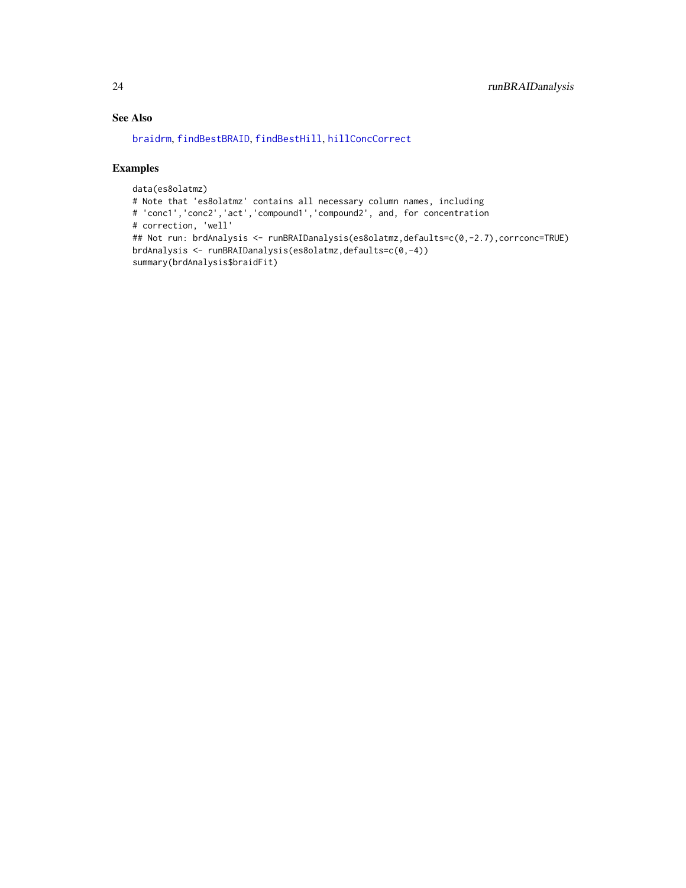# <span id="page-23-0"></span>See Also

[braidrm](#page-1-1), [findBestBRAID](#page-12-1), [findBestHill](#page-14-1), [hillConcCorrect](#page-19-1)

# Examples

```
data(es8olatmz)
# Note that 'es8olatmz' contains all necessary column names, including
# 'conc1','conc2','act','compound1','compound2', and, for concentration
# correction, 'well'
## Not run: brdAnalysis <- runBRAIDanalysis(es8olatmz,defaults=c(0,-2.7),corrconc=TRUE)
brdAnalysis <- runBRAIDanalysis(es8olatmz,defaults=c(0,-4))
summary(brdAnalysis$braidFit)
```